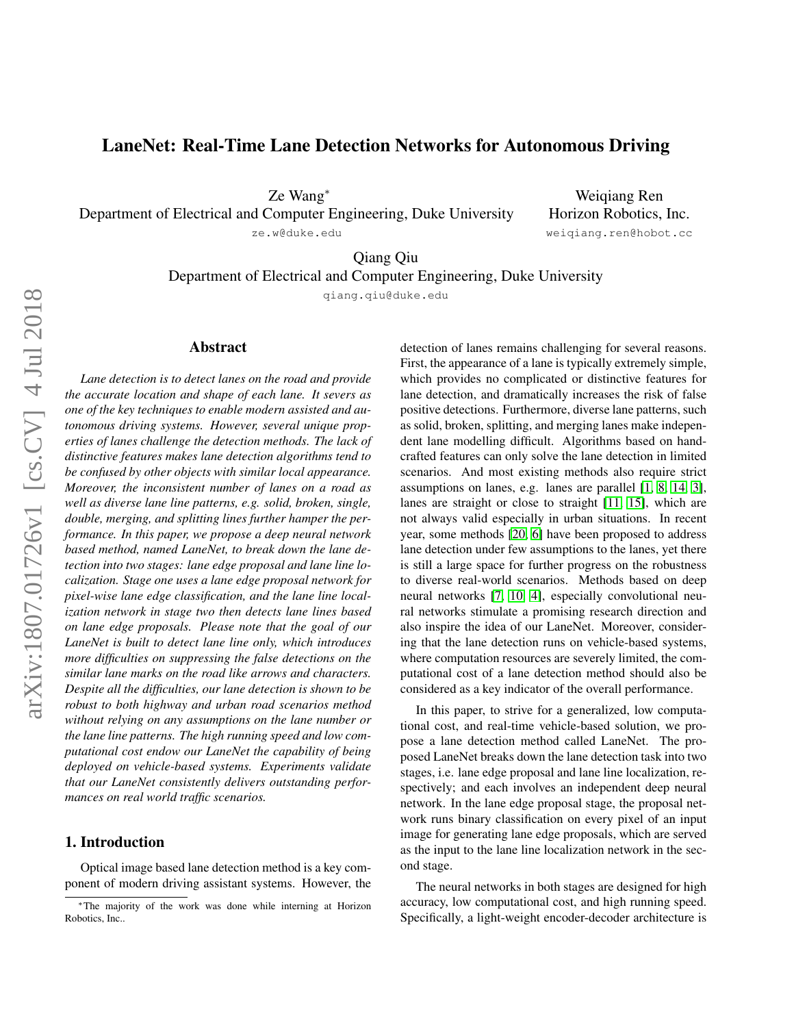# LaneNet: Real-Time Lane Detection Networks for Autonomous Driving

Ze Wang<sup>∗</sup>

Department of Electrical and Computer Engineering, Duke University

ze.w@duke.edu

Weiqiang Ren Horizon Robotics, Inc. weiqiang.ren@hobot.cc

Qiang Qiu

Department of Electrical and Computer Engineering, Duke University

qiang.qiu@duke.edu

# arXiv:1807.01726v1 [cs.CV] 4 Jul 2018 arXiv:1807.01726v1 [cs.CV] 4 Jul 2018

### Abstract

*Lane detection is to detect lanes on the road and provide the accurate location and shape of each lane. It severs as one of the key techniques to enable modern assisted and autonomous driving systems. However, several unique properties of lanes challenge the detection methods. The lack of distinctive features makes lane detection algorithms tend to be confused by other objects with similar local appearance. Moreover, the inconsistent number of lanes on a road as well as diverse lane line patterns, e.g. solid, broken, single, double, merging, and splitting lines further hamper the performance. In this paper, we propose a deep neural network based method, named LaneNet, to break down the lane detection into two stages: lane edge proposal and lane line localization. Stage one uses a lane edge proposal network for pixel-wise lane edge classification, and the lane line localization network in stage two then detects lane lines based on lane edge proposals. Please note that the goal of our LaneNet is built to detect lane line only, which introduces more difficulties on suppressing the false detections on the similar lane marks on the road like arrows and characters. Despite all the difficulties, our lane detection is shown to be robust to both highway and urban road scenarios method without relying on any assumptions on the lane number or the lane line patterns. The high running speed and low computational cost endow our LaneNet the capability of being deployed on vehicle-based systems. Experiments validate that our LaneNet consistently delivers outstanding performances on real world traffic scenarios.*

# 1. Introduction

Optical image based lane detection method is a key component of modern driving assistant systems. However, the detection of lanes remains challenging for several reasons. First, the appearance of a lane is typically extremely simple, which provides no complicated or distinctive features for lane detection, and dramatically increases the risk of false positive detections. Furthermore, diverse lane patterns, such as solid, broken, splitting, and merging lanes make independent lane modelling difficult. Algorithms based on handcrafted features can only solve the lane detection in limited scenarios. And most existing methods also require strict assumptions on lanes, e.g. lanes are parallel [\[1,](#page-8-0) [8,](#page-8-1) [14,](#page-8-2) [3\]](#page-8-3), lanes are straight or close to straight [\[11,](#page-8-4) [15\]](#page-8-5), which are not always valid especially in urban situations. In recent year, some methods [\[20,](#page-8-6) [6\]](#page-8-7) have been proposed to address lane detection under few assumptions to the lanes, yet there is still a large space for further progress on the robustness to diverse real-world scenarios. Methods based on deep neural networks [\[7,](#page-8-8) [10,](#page-8-9) [4\]](#page-8-10), especially convolutional neural networks stimulate a promising research direction and also inspire the idea of our LaneNet. Moreover, considering that the lane detection runs on vehicle-based systems, where computation resources are severely limited, the computational cost of a lane detection method should also be considered as a key indicator of the overall performance.

In this paper, to strive for a generalized, low computational cost, and real-time vehicle-based solution, we propose a lane detection method called LaneNet. The proposed LaneNet breaks down the lane detection task into two stages, i.e. lane edge proposal and lane line localization, respectively; and each involves an independent deep neural network. In the lane edge proposal stage, the proposal network runs binary classification on every pixel of an input image for generating lane edge proposals, which are served as the input to the lane line localization network in the second stage.

The neural networks in both stages are designed for high accuracy, low computational cost, and high running speed. Specifically, a light-weight encoder-decoder architecture is

<sup>∗</sup>The majority of the work was done while interning at Horizon Robotics, Inc..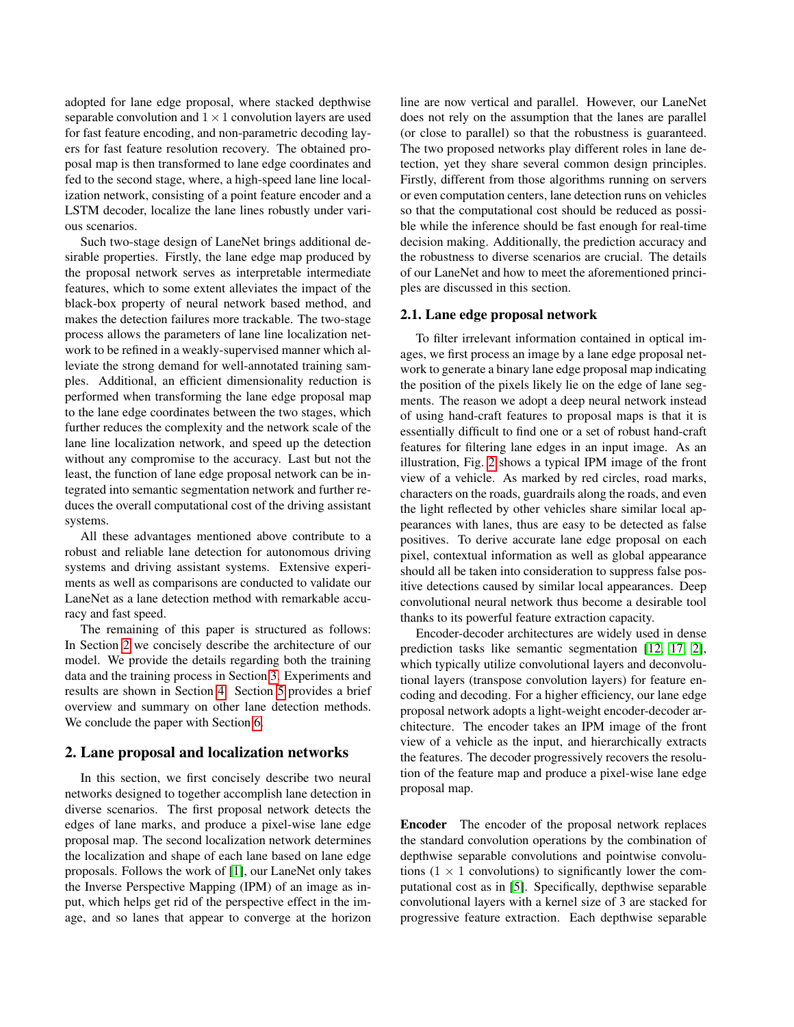adopted for lane edge proposal, where stacked depthwise separable convolution and  $1 \times 1$  convolution layers are used for fast feature encoding, and non-parametric decoding layers for fast feature resolution recovery. The obtained proposal map is then transformed to lane edge coordinates and fed to the second stage, where, a high-speed lane line localization network, consisting of a point feature encoder and a LSTM decoder, localize the lane lines robustly under various scenarios.

Such two-stage design of LaneNet brings additional desirable properties. Firstly, the lane edge map produced by the proposal network serves as interpretable intermediate features, which to some extent alleviates the impact of the black-box property of neural network based method, and makes the detection failures more trackable. The two-stage process allows the parameters of lane line localization network to be refined in a weakly-supervised manner which alleviate the strong demand for well-annotated training samples. Additional, an efficient dimensionality reduction is performed when transforming the lane edge proposal map to the lane edge coordinates between the two stages, which further reduces the complexity and the network scale of the lane line localization network, and speed up the detection without any compromise to the accuracy. Last but not the least, the function of lane edge proposal network can be integrated into semantic segmentation network and further reduces the overall computational cost of the driving assistant systems.

All these advantages mentioned above contribute to a robust and reliable lane detection for autonomous driving systems and driving assistant systems. Extensive experiments as well as comparisons are conducted to validate our LaneNet as a lane detection method with remarkable accuracy and fast speed.

The remaining of this paper is structured as follows: In Section [2](#page-1-0) we concisely describe the architecture of our model. We provide the details regarding both the training data and the training process in Section [3.](#page-3-0) Experiments and results are shown in Section [4.](#page-5-0) Section [5](#page-7-0) provides a brief overview and summary on other lane detection methods. We conclude the paper with Section [6.](#page-7-1)

### <span id="page-1-0"></span>2. Lane proposal and localization networks

In this section, we first concisely describe two neural networks designed to together accomplish lane detection in diverse scenarios. The first proposal network detects the edges of lane marks, and produce a pixel-wise lane edge proposal map. The second localization network determines the localization and shape of each lane based on lane edge proposals. Follows the work of [\[1\]](#page-8-0), our LaneNet only takes the Inverse Perspective Mapping (IPM) of an image as input, which helps get rid of the perspective effect in the image, and so lanes that appear to converge at the horizon line are now vertical and parallel. However, our LaneNet does not rely on the assumption that the lanes are parallel (or close to parallel) so that the robustness is guaranteed. The two proposed networks play different roles in lane detection, yet they share several common design principles. Firstly, different from those algorithms running on servers or even computation centers, lane detection runs on vehicles so that the computational cost should be reduced as possible while the inference should be fast enough for real-time decision making. Additionally, the prediction accuracy and the robustness to diverse scenarios are crucial. The details of our LaneNet and how to meet the aforementioned principles are discussed in this section.

### 2.1. Lane edge proposal network

To filter irrelevant information contained in optical images, we first process an image by a lane edge proposal network to generate a binary lane edge proposal map indicating the position of the pixels likely lie on the edge of lane segments. The reason we adopt a deep neural network instead of using hand-craft features to proposal maps is that it is essentially difficult to find one or a set of robust hand-craft features for filtering lane edges in an input image. As an illustration, Fig. [2](#page-3-1) shows a typical IPM image of the front view of a vehicle. As marked by red circles, road marks, characters on the roads, guardrails along the roads, and even the light reflected by other vehicles share similar local appearances with lanes, thus are easy to be detected as false positives. To derive accurate lane edge proposal on each pixel, contextual information as well as global appearance should all be taken into consideration to suppress false positive detections caused by similar local appearances. Deep convolutional neural network thus become a desirable tool thanks to its powerful feature extraction capacity.

Encoder-decoder architectures are widely used in dense prediction tasks like semantic segmentation [\[12,](#page-8-11) [17,](#page-8-12) [2\]](#page-8-13), which typically utilize convolutional layers and deconvolutional layers (transpose convolution layers) for feature encoding and decoding. For a higher efficiency, our lane edge proposal network adopts a light-weight encoder-decoder architecture. The encoder takes an IPM image of the front view of a vehicle as the input, and hierarchically extracts the features. The decoder progressively recovers the resolution of the feature map and produce a pixel-wise lane edge proposal map.

Encoder The encoder of the proposal network replaces the standard convolution operations by the combination of depthwise separable convolutions and pointwise convolutions  $(1 \times 1)$  convolutions) to significantly lower the computational cost as in [\[5\]](#page-8-14). Specifically, depthwise separable convolutional layers with a kernel size of 3 are stacked for progressive feature extraction. Each depthwise separable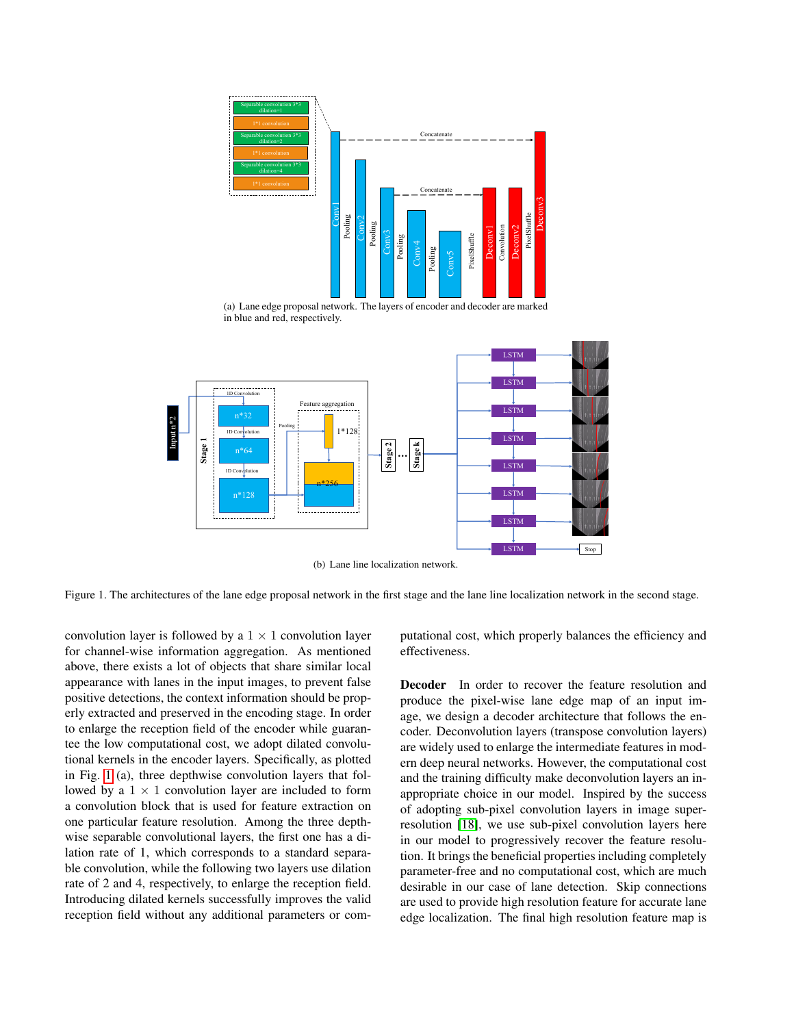

(a) Lane edge proposal network. The layers of encoder and decoder are marked in blue and red, respectively.



(b) Lane line localization network.

<span id="page-2-0"></span>Figure 1. The architectures of the lane edge proposal network in the first stage and the lane line localization network in the second stage.

convolution layer is followed by a  $1 \times 1$  convolution layer for channel-wise information aggregation. As mentioned above, there exists a lot of objects that share similar local appearance with lanes in the input images, to prevent false positive detections, the context information should be properly extracted and preserved in the encoding stage. In order to enlarge the reception field of the encoder while guarantee the low computational cost, we adopt dilated convolutional kernels in the encoder layers. Specifically, as plotted in Fig. [1](#page-2-0) (a), three depthwise convolution layers that followed by a  $1 \times 1$  convolution layer are included to form a convolution block that is used for feature extraction on one particular feature resolution. Among the three depthwise separable convolutional layers, the first one has a dilation rate of 1, which corresponds to a standard separable convolution, while the following two layers use dilation rate of 2 and 4, respectively, to enlarge the reception field. Introducing dilated kernels successfully improves the valid reception field without any additional parameters or computational cost, which properly balances the efficiency and effectiveness.

Decoder In order to recover the feature resolution and produce the pixel-wise lane edge map of an input image, we design a decoder architecture that follows the encoder. Deconvolution layers (transpose convolution layers) are widely used to enlarge the intermediate features in modern deep neural networks. However, the computational cost and the training difficulty make deconvolution layers an inappropriate choice in our model. Inspired by the success of adopting sub-pixel convolution layers in image superresolution [\[18\]](#page-8-15), we use sub-pixel convolution layers here in our model to progressively recover the feature resolution. It brings the beneficial properties including completely parameter-free and no computational cost, which are much desirable in our case of lane detection. Skip connections are used to provide high resolution feature for accurate lane edge localization. The final high resolution feature map is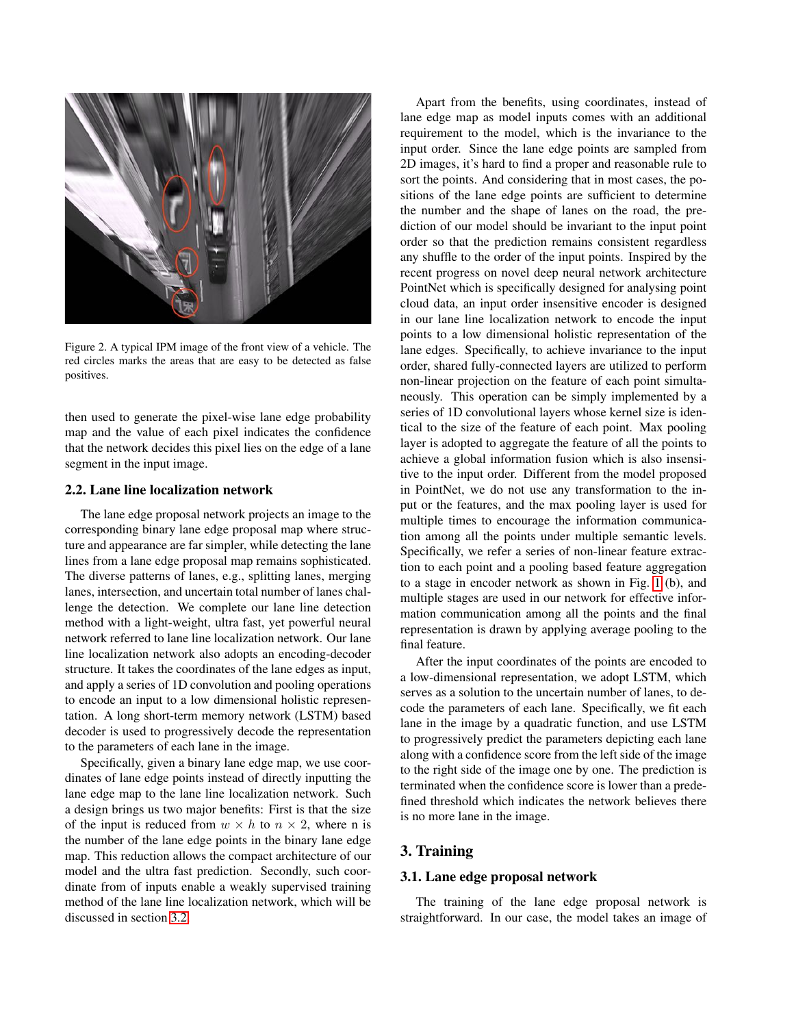

Figure 2. A typical IPM image of the front view of a vehicle. The red circles marks the areas that are easy to be detected as false positives.

<span id="page-3-1"></span>then used to generate the pixel-wise lane edge probability map and the value of each pixel indicates the confidence that the network decides this pixel lies on the edge of a lane segment in the input image.

### 2.2. Lane line localization network

The lane edge proposal network projects an image to the corresponding binary lane edge proposal map where structure and appearance are far simpler, while detecting the lane lines from a lane edge proposal map remains sophisticated. The diverse patterns of lanes, e.g., splitting lanes, merging lanes, intersection, and uncertain total number of lanes challenge the detection. We complete our lane line detection method with a light-weight, ultra fast, yet powerful neural network referred to lane line localization network. Our lane line localization network also adopts an encoding-decoder structure. It takes the coordinates of the lane edges as input, and apply a series of 1D convolution and pooling operations to encode an input to a low dimensional holistic representation. A long short-term memory network (LSTM) based decoder is used to progressively decode the representation to the parameters of each lane in the image.

Specifically, given a binary lane edge map, we use coordinates of lane edge points instead of directly inputting the lane edge map to the lane line localization network. Such a design brings us two major benefits: First is that the size of the input is reduced from  $w \times h$  to  $n \times 2$ , where n is the number of the lane edge points in the binary lane edge map. This reduction allows the compact architecture of our model and the ultra fast prediction. Secondly, such coordinate from of inputs enable a weakly supervised training method of the lane line localization network, which will be discussed in section [3.2.](#page-4-0)

Apart from the benefits, using coordinates, instead of lane edge map as model inputs comes with an additional requirement to the model, which is the invariance to the input order. Since the lane edge points are sampled from 2D images, it's hard to find a proper and reasonable rule to sort the points. And considering that in most cases, the positions of the lane edge points are sufficient to determine the number and the shape of lanes on the road, the prediction of our model should be invariant to the input point order so that the prediction remains consistent regardless any shuffle to the order of the input points. Inspired by the recent progress on novel deep neural network architecture PointNet which is specifically designed for analysing point cloud data, an input order insensitive encoder is designed in our lane line localization network to encode the input points to a low dimensional holistic representation of the lane edges. Specifically, to achieve invariance to the input order, shared fully-connected layers are utilized to perform non-linear projection on the feature of each point simultaneously. This operation can be simply implemented by a series of 1D convolutional layers whose kernel size is identical to the size of the feature of each point. Max pooling layer is adopted to aggregate the feature of all the points to achieve a global information fusion which is also insensitive to the input order. Different from the model proposed in PointNet, we do not use any transformation to the input or the features, and the max pooling layer is used for multiple times to encourage the information communication among all the points under multiple semantic levels. Specifically, we refer a series of non-linear feature extraction to each point and a pooling based feature aggregation to a stage in encoder network as shown in Fig. [1](#page-2-0) (b), and multiple stages are used in our network for effective information communication among all the points and the final representation is drawn by applying average pooling to the final feature.

After the input coordinates of the points are encoded to a low-dimensional representation, we adopt LSTM, which serves as a solution to the uncertain number of lanes, to decode the parameters of each lane. Specifically, we fit each lane in the image by a quadratic function, and use LSTM to progressively predict the parameters depicting each lane along with a confidence score from the left side of the image to the right side of the image one by one. The prediction is terminated when the confidence score is lower than a predefined threshold which indicates the network believes there is no more lane in the image.

### <span id="page-3-0"></span>3. Training

# 3.1. Lane edge proposal network

The training of the lane edge proposal network is straightforward. In our case, the model takes an image of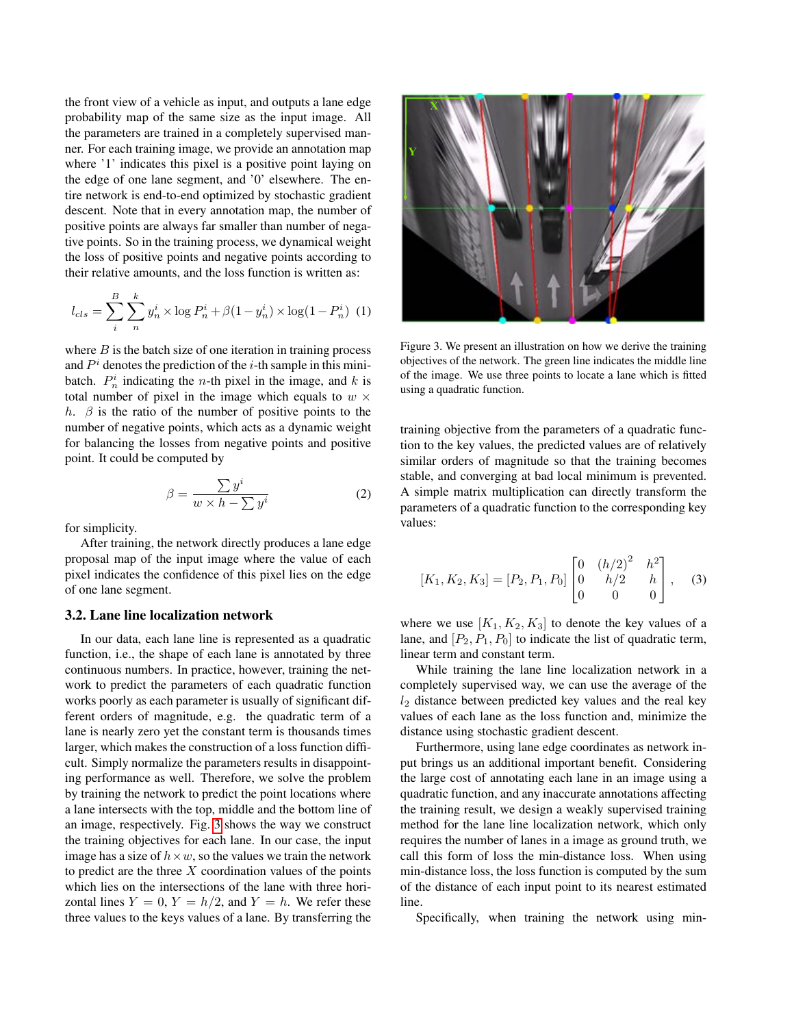the front view of a vehicle as input, and outputs a lane edge probability map of the same size as the input image. All the parameters are trained in a completely supervised manner. For each training image, we provide an annotation map where '1' indicates this pixel is a positive point laying on the edge of one lane segment, and '0' elsewhere. The entire network is end-to-end optimized by stochastic gradient descent. Note that in every annotation map, the number of positive points are always far smaller than number of negative points. So in the training process, we dynamical weight the loss of positive points and negative points according to their relative amounts, and the loss function is written as:

$$
l_{cls} = \sum_{i}^{B} \sum_{n}^{k} y_{n}^{i} \times \log P_{n}^{i} + \beta (1 - y_{n}^{i}) \times \log(1 - P_{n}^{i}) \tag{1}
$$

where  $B$  is the batch size of one iteration in training process and  $P<sup>i</sup>$  denotes the prediction of the *i*-th sample in this minibatch.  $P_n^i$  indicating the *n*-th pixel in the image, and *k* is total number of pixel in the image which equals to  $w \times$ h.  $\beta$  is the ratio of the number of positive points to the number of negative points, which acts as a dynamic weight for balancing the losses from negative points and positive point. It could be computed by

$$
\beta = \frac{\sum y^i}{w \times h - \sum y^i} \tag{2}
$$

for simplicity.

After training, the network directly produces a lane edge proposal map of the input image where the value of each pixel indicates the confidence of this pixel lies on the edge of one lane segment.

### <span id="page-4-0"></span>3.2. Lane line localization network

In our data, each lane line is represented as a quadratic function, i.e., the shape of each lane is annotated by three continuous numbers. In practice, however, training the network to predict the parameters of each quadratic function works poorly as each parameter is usually of significant different orders of magnitude, e.g. the quadratic term of a lane is nearly zero yet the constant term is thousands times larger, which makes the construction of a loss function difficult. Simply normalize the parameters results in disappointing performance as well. Therefore, we solve the problem by training the network to predict the point locations where a lane intersects with the top, middle and the bottom line of an image, respectively. Fig. [3](#page-4-1) shows the way we construct the training objectives for each lane. In our case, the input image has a size of  $h \times w$ , so the values we train the network to predict are the three  $X$  coordination values of the points which lies on the intersections of the lane with three horizontal lines  $Y = 0$ ,  $Y = h/2$ , and  $Y = h$ . We refer these three values to the keys values of a lane. By transferring the



Figure 3. We present an illustration on how we derive the training objectives of the network. The green line indicates the middle line of the image. We use three points to locate a lane which is fitted using a quadratic function.

<span id="page-4-1"></span>training objective from the parameters of a quadratic function to the key values, the predicted values are of relatively similar orders of magnitude so that the training becomes stable, and converging at bad local minimum is prevented. A simple matrix multiplication can directly transform the parameters of a quadratic function to the corresponding key values:

$$
[K_1, K_2, K_3] = [P_2, P_1, P_0] \begin{bmatrix} 0 & (h/2)^2 & h^2 \\ 0 & h/2 & h \\ 0 & 0 & 0 \end{bmatrix}, \quad (3)
$$

where we use  $[K_1, K_2, K_3]$  to denote the key values of a lane, and  $[P_2, P_1, P_0]$  to indicate the list of quadratic term, linear term and constant term.

While training the lane line localization network in a completely supervised way, we can use the average of the  $l_2$  distance between predicted key values and the real key values of each lane as the loss function and, minimize the distance using stochastic gradient descent.

Furthermore, using lane edge coordinates as network input brings us an additional important benefit. Considering the large cost of annotating each lane in an image using a quadratic function, and any inaccurate annotations affecting the training result, we design a weakly supervised training method for the lane line localization network, which only requires the number of lanes in a image as ground truth, we call this form of loss the min-distance loss. When using min-distance loss, the loss function is computed by the sum of the distance of each input point to its nearest estimated line.

Specifically, when training the network using min-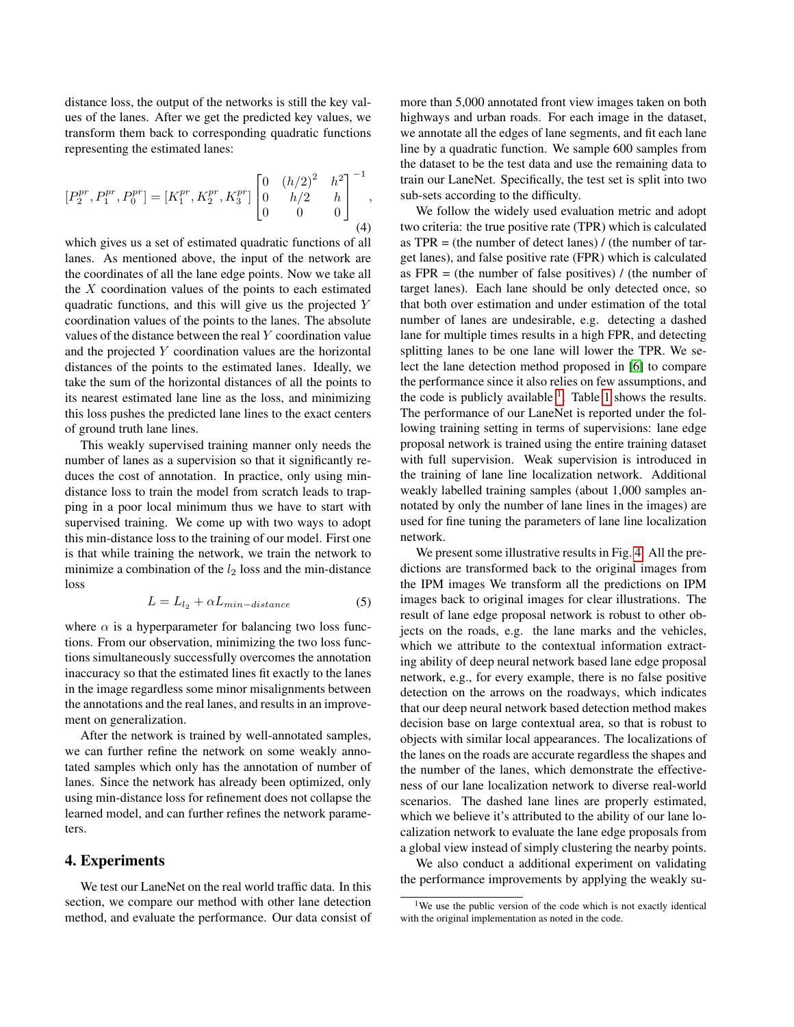distance loss, the output of the networks is still the key values of the lanes. After we get the predicted key values, we transform them back to corresponding quadratic functions representing the estimated lanes:

$$
[P_2^{pr}, P_1^{pr}, P_0^{pr}] = [K_1^{pr}, K_2^{pr}, K_3^{pr}] \begin{bmatrix} 0 & (h/2)^2 & h^2 \\ 0 & h/2 & h \\ 0 & 0 & 0 \end{bmatrix}^{-1},
$$
\n(4)

which gives us a set of estimated quadratic functions of all lanes. As mentioned above, the input of the network are the coordinates of all the lane edge points. Now we take all the  $X$  coordination values of the points to each estimated quadratic functions, and this will give us the projected Y coordination values of the points to the lanes. The absolute values of the distance between the real Y coordination value and the projected Y coordination values are the horizontal distances of the points to the estimated lanes. Ideally, we take the sum of the horizontal distances of all the points to its nearest estimated lane line as the loss, and minimizing this loss pushes the predicted lane lines to the exact centers of ground truth lane lines.

This weakly supervised training manner only needs the number of lanes as a supervision so that it significantly reduces the cost of annotation. In practice, only using mindistance loss to train the model from scratch leads to trapping in a poor local minimum thus we have to start with supervised training. We come up with two ways to adopt this min-distance loss to the training of our model. First one is that while training the network, we train the network to minimize a combination of the  $l_2$  loss and the min-distance loss

$$
L = L_{l_2} + \alpha L_{min-distance} \tag{5}
$$

where  $\alpha$  is a hyperparameter for balancing two loss functions. From our observation, minimizing the two loss functions simultaneously successfully overcomes the annotation inaccuracy so that the estimated lines fit exactly to the lanes in the image regardless some minor misalignments between the annotations and the real lanes, and results in an improvement on generalization.

After the network is trained by well-annotated samples, we can further refine the network on some weakly annotated samples which only has the annotation of number of lanes. Since the network has already been optimized, only using min-distance loss for refinement does not collapse the learned model, and can further refines the network parameters.

### <span id="page-5-0"></span>4. Experiments

We test our LaneNet on the real world traffic data. In this section, we compare our method with other lane detection method, and evaluate the performance. Our data consist of more than 5,000 annotated front view images taken on both highways and urban roads. For each image in the dataset, we annotate all the edges of lane segments, and fit each lane line by a quadratic function. We sample 600 samples from the dataset to be the test data and use the remaining data to train our LaneNet. Specifically, the test set is split into two sub-sets according to the difficulty.

We follow the widely used evaluation metric and adopt two criteria: the true positive rate (TPR) which is calculated as  $TPR =$  (the number of detect lanes) / (the number of target lanes), and false positive rate (FPR) which is calculated as  $FPR =$  (the number of false positives) / (the number of target lanes). Each lane should be only detected once, so that both over estimation and under estimation of the total number of lanes are undesirable, e.g. detecting a dashed lane for multiple times results in a high FPR, and detecting splitting lanes to be one lane will lower the TPR. We select the lane detection method proposed in [\[6\]](#page-8-7) to compare the performance since it also relies on few assumptions, and the code is publicly available  $<sup>1</sup>$  $<sup>1</sup>$  $<sup>1</sup>$ . Table [1](#page-7-2) shows the results.</sup> The performance of our LaneNet is reported under the following training setting in terms of supervisions: lane edge proposal network is trained using the entire training dataset with full supervision. Weak supervision is introduced in the training of lane line localization network. Additional weakly labelled training samples (about 1,000 samples annotated by only the number of lane lines in the images) are used for fine tuning the parameters of lane line localization network.

We present some illustrative results in Fig. [4.](#page-6-0) All the predictions are transformed back to the original images from the IPM images We transform all the predictions on IPM images back to original images for clear illustrations. The result of lane edge proposal network is robust to other objects on the roads, e.g. the lane marks and the vehicles, which we attribute to the contextual information extracting ability of deep neural network based lane edge proposal network, e.g., for every example, there is no false positive detection on the arrows on the roadways, which indicates that our deep neural network based detection method makes decision base on large contextual area, so that is robust to objects with similar local appearances. The localizations of the lanes on the roads are accurate regardless the shapes and the number of the lanes, which demonstrate the effectiveness of our lane localization network to diverse real-world scenarios. The dashed lane lines are properly estimated, which we believe it's attributed to the ability of our lane localization network to evaluate the lane edge proposals from a global view instead of simply clustering the nearby points.

We also conduct a additional experiment on validating the performance improvements by applying the weakly su-

<span id="page-5-1"></span><sup>&</sup>lt;sup>1</sup>We use the public version of the code which is not exactly identical with the original implementation as noted in the code.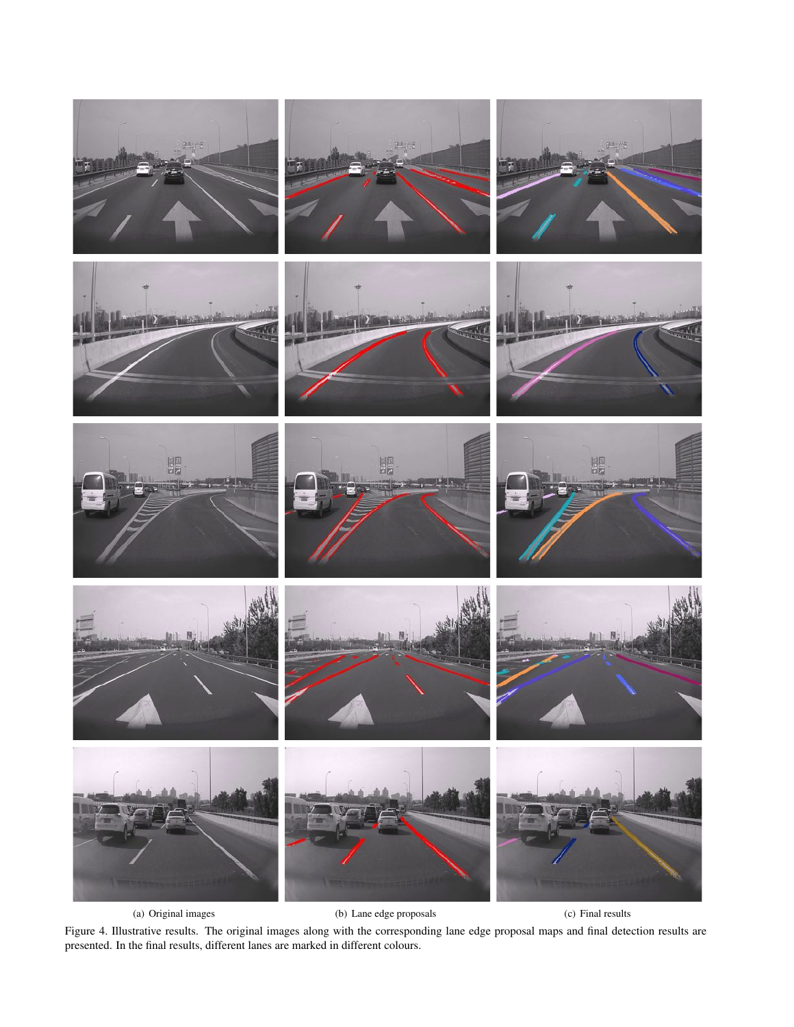

<span id="page-6-0"></span>(a) Original images (b) Lane edge proposals (c) Final results

Figure 4. Illustrative results. The original images along with the corresponding lane edge proposal maps and final detection results are presented. In the final results, different lanes are marked in different colours.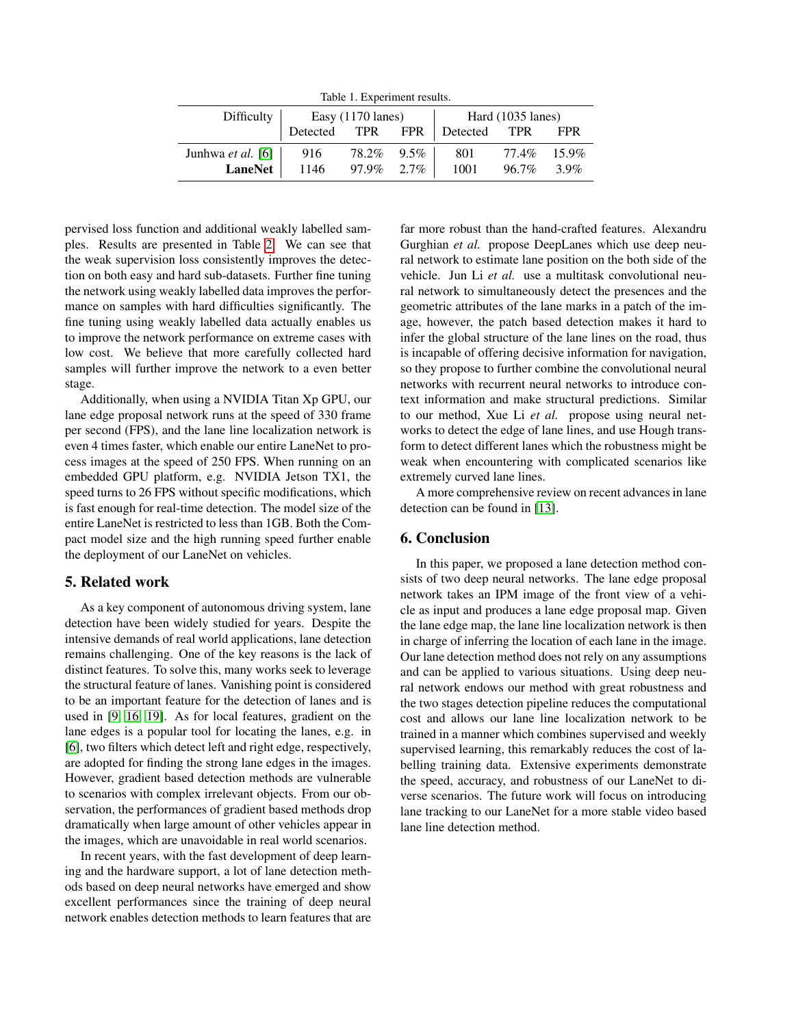<span id="page-7-2"></span>Table 1. Experiment results.

|                                  | Difficulty $\vert$ Easy (1170 lanes) |            |  | Hard (1035 lanes)                 |             |  |  |
|----------------------------------|--------------------------------------|------------|--|-----------------------------------|-------------|--|--|
|                                  |                                      |            |  | Detected TPR FPR Detected TPR FPR |             |  |  |
| Junhwa <i>et al.</i> [6] $ $ 916 |                                      | 78.2% 9.5% |  | 801                               | 77.4% 15.9% |  |  |
| LaneNet                          | $1146$ 97.9% 2.7%                    |            |  | 1001                              | 96.7% 3.9%  |  |  |

pervised loss function and additional weakly labelled samples. Results are presented in Table [2.](#page-8-16) We can see that the weak supervision loss consistently improves the detection on both easy and hard sub-datasets. Further fine tuning the network using weakly labelled data improves the performance on samples with hard difficulties significantly. The fine tuning using weakly labelled data actually enables us to improve the network performance on extreme cases with low cost. We believe that more carefully collected hard samples will further improve the network to a even better stage.

Additionally, when using a NVIDIA Titan Xp GPU, our lane edge proposal network runs at the speed of 330 frame per second (FPS), and the lane line localization network is even 4 times faster, which enable our entire LaneNet to process images at the speed of 250 FPS. When running on an embedded GPU platform, e.g. NVIDIA Jetson TX1, the speed turns to 26 FPS without specific modifications, which is fast enough for real-time detection. The model size of the entire LaneNet is restricted to less than 1GB. Both the Compact model size and the high running speed further enable the deployment of our LaneNet on vehicles.

# <span id="page-7-0"></span>5. Related work

As a key component of autonomous driving system, lane detection have been widely studied for years. Despite the intensive demands of real world applications, lane detection remains challenging. One of the key reasons is the lack of distinct features. To solve this, many works seek to leverage the structural feature of lanes. Vanishing point is considered to be an important feature for the detection of lanes and is used in [\[9,](#page-8-17) [16,](#page-8-18) [19\]](#page-8-19). As for local features, gradient on the lane edges is a popular tool for locating the lanes, e.g. in [\[6\]](#page-8-7), two filters which detect left and right edge, respectively, are adopted for finding the strong lane edges in the images. However, gradient based detection methods are vulnerable to scenarios with complex irrelevant objects. From our observation, the performances of gradient based methods drop dramatically when large amount of other vehicles appear in the images, which are unavoidable in real world scenarios.

In recent years, with the fast development of deep learning and the hardware support, a lot of lane detection methods based on deep neural networks have emerged and show excellent performances since the training of deep neural network enables detection methods to learn features that are far more robust than the hand-crafted features. Alexandru Gurghian *et al.* propose DeepLanes which use deep neural network to estimate lane position on the both side of the vehicle. Jun Li *et al.* use a multitask convolutional neural network to simultaneously detect the presences and the geometric attributes of the lane marks in a patch of the image, however, the patch based detection makes it hard to infer the global structure of the lane lines on the road, thus is incapable of offering decisive information for navigation, so they propose to further combine the convolutional neural networks with recurrent neural networks to introduce context information and make structural predictions. Similar to our method, Xue Li *et al.* propose using neural networks to detect the edge of lane lines, and use Hough transform to detect different lanes which the robustness might be weak when encountering with complicated scenarios like extremely curved lane lines.

A more comprehensive review on recent advances in lane detection can be found in [\[13\]](#page-8-20).

# <span id="page-7-1"></span>6. Conclusion

In this paper, we proposed a lane detection method consists of two deep neural networks. The lane edge proposal network takes an IPM image of the front view of a vehicle as input and produces a lane edge proposal map. Given the lane edge map, the lane line localization network is then in charge of inferring the location of each lane in the image. Our lane detection method does not rely on any assumptions and can be applied to various situations. Using deep neural network endows our method with great robustness and the two stages detection pipeline reduces the computational cost and allows our lane line localization network to be trained in a manner which combines supervised and weekly supervised learning, this remarkably reduces the cost of labelling training data. Extensive experiments demonstrate the speed, accuracy, and robustness of our LaneNet to diverse scenarios. The future work will focus on introducing lane tracking to our LaneNet for a more stable video based lane line detection method.